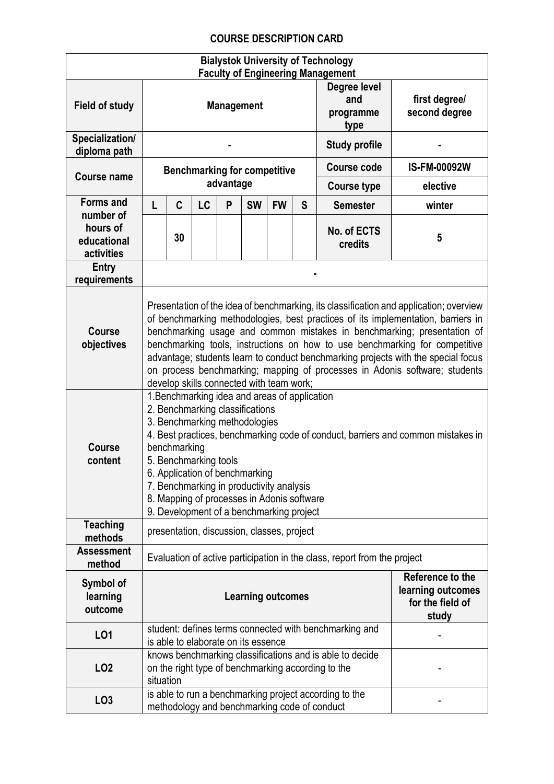## **COURSE DESCRIPTION CARD**

| <b>Bialystok University of Technology</b><br><b>Faculty of Engineering Management</b> |                                                                                                                                                                                                                                                                                                                                                                                                                                                                                                                                                     |                                                                                                                             |                                     |           |           |                                                                    |                                          |                                                                                                        |                     |
|---------------------------------------------------------------------------------------|-----------------------------------------------------------------------------------------------------------------------------------------------------------------------------------------------------------------------------------------------------------------------------------------------------------------------------------------------------------------------------------------------------------------------------------------------------------------------------------------------------------------------------------------------------|-----------------------------------------------------------------------------------------------------------------------------|-------------------------------------|-----------|-----------|--------------------------------------------------------------------|------------------------------------------|--------------------------------------------------------------------------------------------------------|---------------------|
| Field of study                                                                        | <b>Management</b>                                                                                                                                                                                                                                                                                                                                                                                                                                                                                                                                   |                                                                                                                             |                                     |           |           |                                                                    | Degree level<br>and<br>programme<br>type | first degree/<br>second degree                                                                         |                     |
| Specialization/<br>diploma path                                                       |                                                                                                                                                                                                                                                                                                                                                                                                                                                                                                                                                     |                                                                                                                             |                                     |           |           |                                                                    |                                          | <b>Study profile</b>                                                                                   |                     |
| <b>Course name</b>                                                                    | <b>Benchmarking for competitive</b>                                                                                                                                                                                                                                                                                                                                                                                                                                                                                                                 |                                                                                                                             |                                     |           |           |                                                                    |                                          | <b>Course code</b>                                                                                     | <b>IS-FM-00092W</b> |
|                                                                                       |                                                                                                                                                                                                                                                                                                                                                                                                                                                                                                                                                     |                                                                                                                             |                                     | advantage |           |                                                                    | <b>Course type</b>                       | elective                                                                                               |                     |
| <b>Forms and</b><br>number of                                                         |                                                                                                                                                                                                                                                                                                                                                                                                                                                                                                                                                     | C                                                                                                                           | LC                                  | P         | <b>SW</b> | <b>FW</b>                                                          | S                                        | <b>Semester</b>                                                                                        | winter              |
| hours of<br>educational<br>activities                                                 |                                                                                                                                                                                                                                                                                                                                                                                                                                                                                                                                                     | 30                                                                                                                          |                                     |           |           |                                                                    |                                          | No. of ECTS<br>credits                                                                                 | 5                   |
| Entry<br>requirements                                                                 |                                                                                                                                                                                                                                                                                                                                                                                                                                                                                                                                                     |                                                                                                                             |                                     |           |           |                                                                    |                                          |                                                                                                        |                     |
| Course<br>objectives                                                                  | Presentation of the idea of benchmarking, its classification and application; overview<br>of benchmarking methodologies, best practices of its implementation, barriers in<br>benchmarking usage and common mistakes in benchmarking; presentation of<br>benchmarking tools, instructions on how to use benchmarking for competitive<br>advantage; students learn to conduct benchmarking projects with the special focus<br>on process benchmarking; mapping of processes in Adonis software; students<br>develop skills connected with team work; |                                                                                                                             |                                     |           |           |                                                                    |                                          |                                                                                                        |                     |
| Course<br>content                                                                     | 1. Benchmarking idea and areas of application<br>2. Benchmarking classifications<br>3. Benchmarking methodologies<br>4. Best practices, benchmarking code of conduct, barriers and common mistakes in<br>benchmarking<br>5. Benchmarking tools<br>6. Application of benchmarking<br>7. Benchmarking in productivity analysis<br>8. Mapping of processes in Adonis software<br>9. Development of a benchmarking project                                                                                                                              |                                                                                                                             |                                     |           |           |                                                                    |                                          |                                                                                                        |                     |
| <b>Teaching</b><br>methods                                                            | presentation, discussion, classes, project                                                                                                                                                                                                                                                                                                                                                                                                                                                                                                          |                                                                                                                             |                                     |           |           |                                                                    |                                          |                                                                                                        |                     |
| <b>Assessment</b><br>method                                                           | Evaluation of active participation in the class, report from the project                                                                                                                                                                                                                                                                                                                                                                                                                                                                            |                                                                                                                             |                                     |           |           |                                                                    |                                          |                                                                                                        |                     |
| Symbol of<br>learning<br>outcome                                                      | <b>Learning outcomes</b>                                                                                                                                                                                                                                                                                                                                                                                                                                                                                                                            |                                                                                                                             |                                     |           |           | Reference to the<br>learning outcomes<br>for the field of<br>study |                                          |                                                                                                        |                     |
| L01                                                                                   |                                                                                                                                                                                                                                                                                                                                                                                                                                                                                                                                                     |                                                                                                                             | is able to elaborate on its essence |           |           |                                                                    |                                          | student: defines terms connected with benchmarking and                                                 |                     |
| LO <sub>2</sub>                                                                       |                                                                                                                                                                                                                                                                                                                                                                                                                                                                                                                                                     | knows benchmarking classifications and is able to decide<br>on the right type of benchmarking according to the<br>situation |                                     |           |           |                                                                    |                                          |                                                                                                        |                     |
| LO <sub>3</sub>                                                                       |                                                                                                                                                                                                                                                                                                                                                                                                                                                                                                                                                     |                                                                                                                             |                                     |           |           |                                                                    |                                          | is able to run a benchmarking project according to the<br>methodology and benchmarking code of conduct |                     |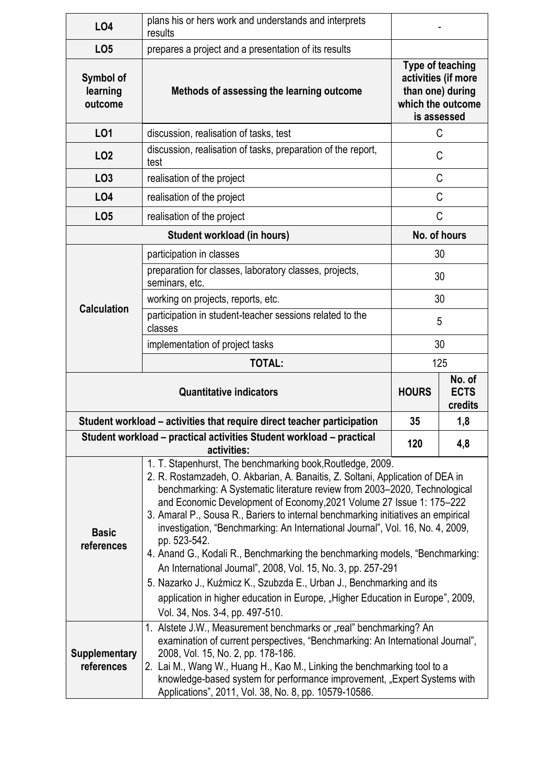| <b>LO4</b>                                                           | plans his or hers work and understands and interprets<br>results                                                                                                                                                                                                                                                                                                                                                                                                                                                                                                                                                                                                                                                                                                                                                                        |                                                                                                 |     |  |  |  |
|----------------------------------------------------------------------|-----------------------------------------------------------------------------------------------------------------------------------------------------------------------------------------------------------------------------------------------------------------------------------------------------------------------------------------------------------------------------------------------------------------------------------------------------------------------------------------------------------------------------------------------------------------------------------------------------------------------------------------------------------------------------------------------------------------------------------------------------------------------------------------------------------------------------------------|-------------------------------------------------------------------------------------------------|-----|--|--|--|
| LO <sub>5</sub>                                                      | prepares a project and a presentation of its results                                                                                                                                                                                                                                                                                                                                                                                                                                                                                                                                                                                                                                                                                                                                                                                    |                                                                                                 |     |  |  |  |
| Symbol of<br>learning<br>outcome                                     | Methods of assessing the learning outcome                                                                                                                                                                                                                                                                                                                                                                                                                                                                                                                                                                                                                                                                                                                                                                                               | Type of teaching<br>activities (if more<br>than one) during<br>which the outcome<br>is assessed |     |  |  |  |
| LO1                                                                  | discussion, realisation of tasks, test                                                                                                                                                                                                                                                                                                                                                                                                                                                                                                                                                                                                                                                                                                                                                                                                  |                                                                                                 | C   |  |  |  |
| LO <sub>2</sub>                                                      | discussion, realisation of tasks, preparation of the report,<br>test                                                                                                                                                                                                                                                                                                                                                                                                                                                                                                                                                                                                                                                                                                                                                                    | C                                                                                               |     |  |  |  |
| LO <sub>3</sub>                                                      | realisation of the project                                                                                                                                                                                                                                                                                                                                                                                                                                                                                                                                                                                                                                                                                                                                                                                                              | C                                                                                               |     |  |  |  |
| <b>LO4</b>                                                           | realisation of the project                                                                                                                                                                                                                                                                                                                                                                                                                                                                                                                                                                                                                                                                                                                                                                                                              | C                                                                                               |     |  |  |  |
| LO <sub>5</sub>                                                      | realisation of the project                                                                                                                                                                                                                                                                                                                                                                                                                                                                                                                                                                                                                                                                                                                                                                                                              | C                                                                                               |     |  |  |  |
|                                                                      | Student workload (in hours)                                                                                                                                                                                                                                                                                                                                                                                                                                                                                                                                                                                                                                                                                                                                                                                                             |                                                                                                 |     |  |  |  |
| <b>Calculation</b>                                                   | participation in classes                                                                                                                                                                                                                                                                                                                                                                                                                                                                                                                                                                                                                                                                                                                                                                                                                | 30                                                                                              |     |  |  |  |
|                                                                      | preparation for classes, laboratory classes, projects,<br>seminars, etc.                                                                                                                                                                                                                                                                                                                                                                                                                                                                                                                                                                                                                                                                                                                                                                | 30                                                                                              |     |  |  |  |
|                                                                      | working on projects, reports, etc.                                                                                                                                                                                                                                                                                                                                                                                                                                                                                                                                                                                                                                                                                                                                                                                                      | 30                                                                                              |     |  |  |  |
|                                                                      | participation in student-teacher sessions related to the<br>classes                                                                                                                                                                                                                                                                                                                                                                                                                                                                                                                                                                                                                                                                                                                                                                     | 5                                                                                               |     |  |  |  |
|                                                                      | implementation of project tasks                                                                                                                                                                                                                                                                                                                                                                                                                                                                                                                                                                                                                                                                                                                                                                                                         | 30                                                                                              |     |  |  |  |
|                                                                      | <b>TOTAL:</b>                                                                                                                                                                                                                                                                                                                                                                                                                                                                                                                                                                                                                                                                                                                                                                                                                           | 125                                                                                             |     |  |  |  |
|                                                                      | <b>HOURS</b>                                                                                                                                                                                                                                                                                                                                                                                                                                                                                                                                                                                                                                                                                                                                                                                                                            | No. of<br><b>ECTS</b><br>credits                                                                |     |  |  |  |
|                                                                      | Student workload – activities that require direct teacher participation                                                                                                                                                                                                                                                                                                                                                                                                                                                                                                                                                                                                                                                                                                                                                                 | 35                                                                                              | 1,8 |  |  |  |
| Student workload - practical activities Student workload - practical | 120                                                                                                                                                                                                                                                                                                                                                                                                                                                                                                                                                                                                                                                                                                                                                                                                                                     | 4,8                                                                                             |     |  |  |  |
| <b>Basic</b><br>references                                           | 1. T. Stapenhurst, The benchmarking book, Routledge, 2009.<br>2. R. Rostamzadeh, O. Akbarian, A. Banaitis, Z. Soltani, Application of DEA in<br>benchmarking: A Systematic literature review from 2003-2020, Technological<br>and Economic Development of Economy, 2021 Volume 27 Issue 1: 175-222<br>3. Amaral P., Sousa R., Bariers to internal benchmarking initiatives an empirical<br>investigation, "Benchmarking: An International Journal", Vol. 16, No. 4, 2009,<br>pp. 523-542.<br>4. Anand G., Kodali R., Benchmarking the benchmarking models, "Benchmarking:<br>An International Journal", 2008, Vol. 15, No. 3, pp. 257-291<br>5. Nazarko J., Kuźmicz K., Szubzda E., Urban J., Benchmarking and its<br>application in higher education in Europe, "Higher Education in Europe", 2009,<br>Vol. 34, Nos. 3-4, pp. 497-510. |                                                                                                 |     |  |  |  |
| <b>Supplementary</b><br>references                                   | 1. Alstete J.W., Measurement benchmarks or "real" benchmarking? An<br>examination of current perspectives, "Benchmarking: An International Journal",<br>2008, Vol. 15, No. 2, pp. 178-186.<br>2. Lai M., Wang W., Huang H., Kao M., Linking the benchmarking tool to a<br>knowledge-based system for performance improvement, "Expert Systems with<br>Applications", 2011, Vol. 38, No. 8, pp. 10579-10586.                                                                                                                                                                                                                                                                                                                                                                                                                             |                                                                                                 |     |  |  |  |